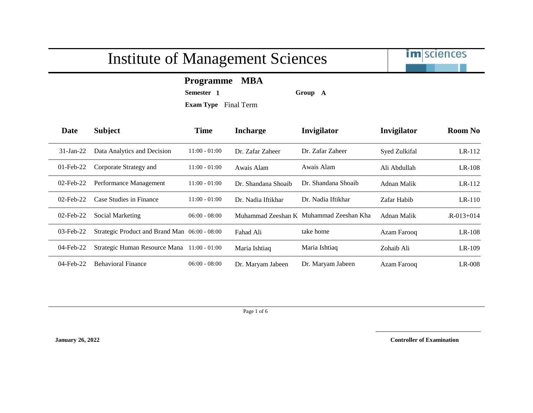

**Programme MBA**

**Semester 1 Group A**

**Exam Type** Final Term

| <b>Date</b>  | <b>Subject</b>                                | <b>Time</b>     | <b>Incharge</b>     | Invigilator                             | Invigilator   | <b>Room No</b>  |
|--------------|-----------------------------------------------|-----------------|---------------------|-----------------------------------------|---------------|-----------------|
| $31$ -Jan-22 | Data Analytics and Decision                   | $11:00 - 01:00$ | Dr. Zafar Zaheer    | Dr. Zafar Zaheer                        | Syed Zulkifal | $LR-112$        |
| $01$ -Feb-22 | Corporate Strategy and                        | $11:00 - 01:00$ | Awais Alam          | Awais Alam                              | Ali Abdullah  | $LR-108$        |
| $02$ -Feb-22 | Performance Management                        | $11:00 - 01:00$ | Dr. Shandana Shoaib | Dr. Shandana Shoaib                     | Adnan Malik   | LR-112          |
| $02$ -Feb-22 | Case Studies in Finance                       | $11:00 - 01:00$ | Dr. Nadia Iftikhar  | Dr. Nadia Iftikhar                      | Zafar Habib   | $LR-110$        |
| $02$ -Feb-22 | <b>Social Marketing</b>                       | $06:00 - 08:00$ |                     | Muhammad Zeeshan K Muhammad Zeeshan Kha | Adnan Malik   | $R - 013 + 014$ |
| $03$ -Feb-22 | Strategic Product and Brand Man 06:00 - 08:00 |                 | Fahad Ali           | take home                               | Azam Farooq   | $LR-108$        |
| $04$ -Feb-22 | Strategic Human Resource Mana 11:00 - 01:00   |                 | Maria Ishtiaq       | Maria Ishtiaq                           | Zohaib Ali    | $LR-109$        |
| 04-Feb-22    | <b>Behavioral Finance</b>                     | $06:00 - 08:00$ | Dr. Maryam Jabeen   | Dr. Maryam Jabeen                       | Azam Farooq   | $LR-008$        |

Page 1 of 6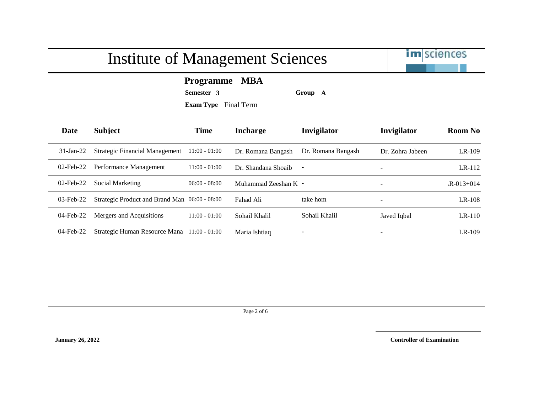

**Programme MBA**

**Semester 3 Group A**

**Exam Type** Final Term

| Date         | <b>Subject</b>                                | <b>Time</b>     | <b>Incharge</b>      | Invigilator        | Invigilator              | <b>Room No</b>  |
|--------------|-----------------------------------------------|-----------------|----------------------|--------------------|--------------------------|-----------------|
| $31-Ian-22$  | <b>Strategic Financial Management</b>         | $11:00 - 01:00$ | Dr. Romana Bangash   | Dr. Romana Bangash | Dr. Zohra Jabeen         | $LR-109$        |
| $02$ -Feb-22 | Performance Management                        | $11:00 - 01:00$ | Dr. Shandana Shoaib  |                    | $\overline{\phantom{a}}$ | $LR-112$        |
| $02$ -Feb-22 | Social Marketing                              | $06:00 - 08:00$ | Muhammad Zeeshan K - |                    | $\overline{\phantom{0}}$ | $R - 013 + 014$ |
| $03$ -Feb-22 | Strategic Product and Brand Man 06:00 - 08:00 |                 | Fahad Ali            | take hom           | $\overline{\phantom{a}}$ | $LR-108$        |
| 04-Feb-22    | Mergers and Acquisitions                      | 11:00 - 01:00   | Sohail Khalil        | Sohail Khalil      | Javed Iqbal              | $LR-110$        |
| $04$ -Feb-22 | Strategic Human Resource Mana                 | $11:00 - 01:00$ | Maria Ishtiaq        |                    | $\overline{\phantom{0}}$ | $LR-109$        |

Page 2 of 6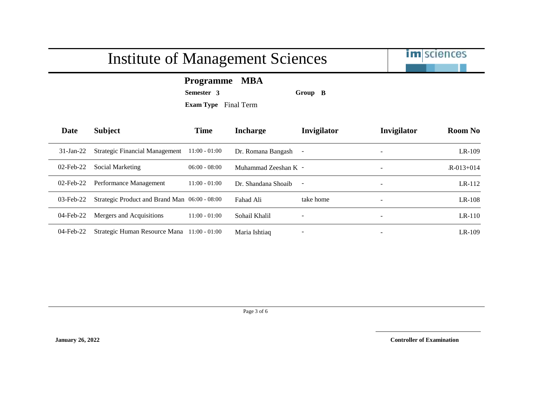

**Programme MBA**

**Semester 3 Group B**

**Exam Type** Final Term

| Date         | <b>Subject</b>                                | <b>Time</b>     | Incharge             | Invigilator | <b>Invigilator</b>       | <b>Room No</b>  |
|--------------|-----------------------------------------------|-----------------|----------------------|-------------|--------------------------|-----------------|
| $31-Ian-22$  | <b>Strategic Financial Management</b>         | $11:00 - 01:00$ | Dr. Romana Bangash - |             | $\overline{\phantom{0}}$ | $LR-109$        |
| $02$ -Feb-22 | Social Marketing                              | $06:00 - 08:00$ | Muhammad Zeeshan K - |             | $\overline{\phantom{a}}$ | $R - 013 + 014$ |
| $02$ -Feb-22 | Performance Management                        | $11:00 - 01:00$ | Dr. Shandana Shoaib  |             | $\overline{\phantom{a}}$ | $LR-112$        |
| $03$ -Feb-22 | Strategic Product and Brand Man 06:00 - 08:00 |                 | Fahad Ali            | take home   | $\overline{\phantom{a}}$ | $LR-108$        |
| 04-Feb-22    | Mergers and Acquisitions                      | $11:00 - 01:00$ | Sohail Khalil        |             | $\overline{\phantom{a}}$ | $LR-110$        |
| $04$ -Feb-22 | Strategic Human Resource Mana                 | $11:00 - 01:00$ | Maria Ishtiaq        |             | $\overline{\phantom{a}}$ | $LR-109$        |

Page 3 of 6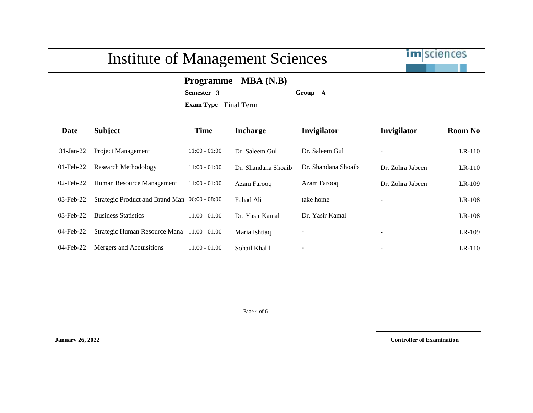

### **Programme MBA (N.B)**

**Semester 3 Group A**

**Exam Type** Final Term

| Date         | <b>Subject</b>                                | <b>Time</b>     | <b>Incharge</b>     | <b>Invigilator</b>  | Invigilator              | <b>Room No</b> |
|--------------|-----------------------------------------------|-----------------|---------------------|---------------------|--------------------------|----------------|
| $31$ -Jan-22 | <b>Project Management</b>                     | $11:00 - 01:00$ | Dr. Saleem Gul      | Dr. Saleem Gul      | $\equiv$                 | $LR-110$       |
| $01$ -Feb-22 | Research Methodology                          | $11:00 - 01:00$ | Dr. Shandana Shoaib | Dr. Shandana Shoaib | Dr. Zohra Jabeen         | $LR-110$       |
| $02$ -Feb-22 | Human Resource Management                     | $11:00 - 01:00$ | Azam Farooq         | Azam Farooq         | Dr. Zohra Jabeen         | $LR-109$       |
| $03$ -Feb-22 | Strategic Product and Brand Man 06:00 - 08:00 |                 | Fahad Ali           | take home           | $\overline{\phantom{a}}$ | $LR-108$       |
| $03$ -Feb-22 | <b>Business Statistics</b>                    | $11:00 - 01:00$ | Dr. Yasir Kamal     | Dr. Yasir Kamal     |                          | $LR-108$       |
| $04$ -Feb-22 | Strategic Human Resource Mana                 | $11:00 - 01:00$ | Maria Ishtiaq       |                     | $\overline{\phantom{0}}$ | $LR-109$       |
| 04-Feb-22    | Mergers and Acquisitions                      | $11:00 - 01:00$ | Sohail Khalil       |                     | $\overline{\phantom{0}}$ | $LR-110$       |

Page 4 of 6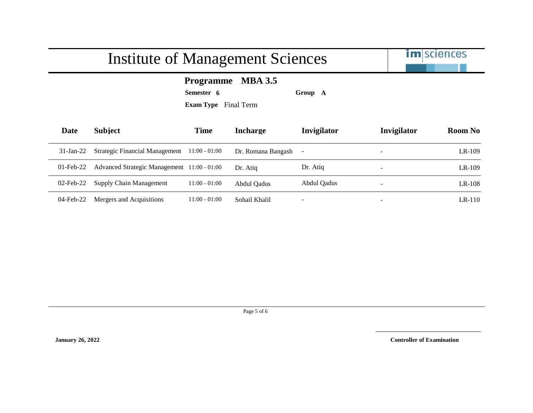

**Programme MBA 3.5**

**Semester 6 Group A**

**Exam Type** Final Term

| Date         | <b>Subject</b>                              | <b>Time</b>     | <b>Incharge</b>      | Invigilator | Invigilator              | <b>Room No</b> |
|--------------|---------------------------------------------|-----------------|----------------------|-------------|--------------------------|----------------|
| $31-Ian-22$  | <b>Strategic Financial Management</b>       | $11:00 - 01:00$ | Dr. Romana Bangash - |             | $\overline{\phantom{0}}$ | $LR-109$       |
| $01$ -Feb-22 | Advanced Strategic Management 11:00 - 01:00 |                 | Dr. Atiq             | Dr. Atiq    | $\overline{\phantom{a}}$ | $LR-109$       |
| $02$ -Feb-22 | Supply Chain Management                     | $11:00 - 01:00$ | Abdul Qadus          | Abdul Oadus | $\overline{\phantom{0}}$ | $LR-108$       |
| 04-Feb-22    | Mergers and Acquisitions                    | $11:00 - 01:00$ | Sohail Khalil        | -           | $\overline{\phantom{0}}$ | $LR-110$       |

Page 5 of 6